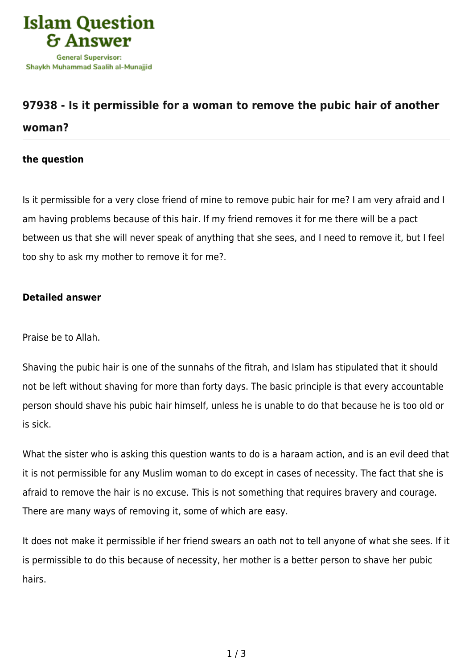

## **[97938 - Is it permissible for a woman to remove the pubic hair of another](https://islamqa.com/en/answers/97938/is-it-permissible-for-a-woman-to-remove-the-pubic-hair-of-another-woman) [woman?](https://islamqa.com/en/answers/97938/is-it-permissible-for-a-woman-to-remove-the-pubic-hair-of-another-woman)**

## **the question**

Is it permissible for a very close friend of mine to remove pubic hair for me? I am very afraid and I am having problems because of this hair. If my friend removes it for me there will be a pact between us that she will never speak of anything that she sees, and I need to remove it, but I feel too shy to ask my mother to remove it for me?.

## **Detailed answer**

Praise be to Allah.

Shaving the pubic hair is one of the sunnahs of the fitrah, and Islam has stipulated that it should not be left without shaving for more than forty days. The basic principle is that every accountable person should shave his pubic hair himself, unless he is unable to do that because he is too old or is sick.

What the sister who is asking this question wants to do is a haraam action, and is an evil deed that it is not permissible for any Muslim woman to do except in cases of necessity. The fact that she is afraid to remove the hair is no excuse. This is not something that requires bravery and courage. There are many ways of removing it, some of which are easy.

It does not make it permissible if her friend swears an oath not to tell anyone of what she sees. If it is permissible to do this because of necessity, her mother is a better person to shave her pubic hairs.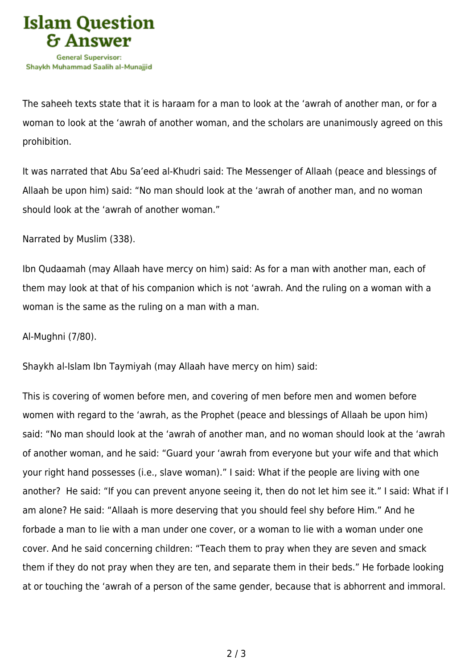

The saheeh texts state that it is haraam for a man to look at the 'awrah of another man, or for a woman to look at the 'awrah of another woman, and the scholars are unanimously agreed on this prohibition.

It was narrated that Abu Sa'eed al-Khudri said: The Messenger of Allaah (peace and blessings of Allaah be upon him) said: "No man should look at the 'awrah of another man, and no woman should look at the 'awrah of another woman."

Narrated by Muslim (338).

Ibn Qudaamah (may Allaah have mercy on him) said: As for a man with another man, each of them may look at that of his companion which is not 'awrah. And the ruling on a woman with a woman is the same as the ruling on a man with a man.

Al-Mughni (7/80).

Shaykh al-Islam Ibn Taymiyah (may Allaah have mercy on him) said:

This is covering of women before men, and covering of men before men and women before women with regard to the 'awrah, as the Prophet (peace and blessings of Allaah be upon him) said: "No man should look at the 'awrah of another man, and no woman should look at the 'awrah of another woman, and he said: "Guard your 'awrah from everyone but your wife and that which your right hand possesses (i.e., slave woman)." I said: What if the people are living with one another? He said: "If you can prevent anyone seeing it, then do not let him see it." I said: What if I am alone? He said: "Allaah is more deserving that you should feel shy before Him." And he forbade a man to lie with a man under one cover, or a woman to lie with a woman under one cover. And he said concerning children: "Teach them to pray when they are seven and smack them if they do not pray when they are ten, and separate them in their beds." He forbade looking at or touching the 'awrah of a person of the same gender, because that is abhorrent and immoral.